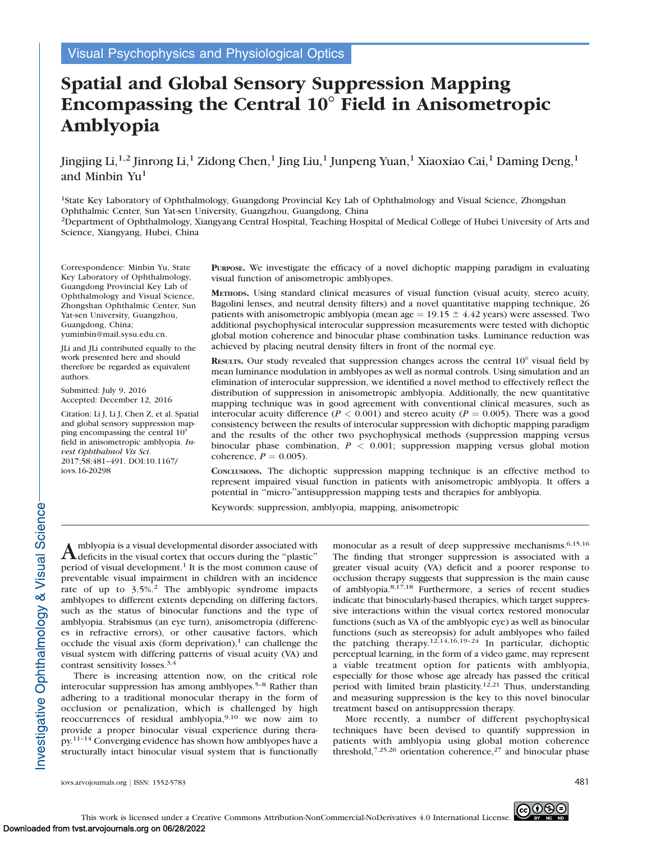# Spatial and Global Sensory Suppression Mapping Encompassing the Central  $10^{\circ}$  Field in Anisometropic Amblyopia

Jingjing Li,<sup>1,2</sup> Jinrong Li,<sup>1</sup> Zidong Chen,<sup>1</sup> Jing Liu,<sup>1</sup> Junpeng Yuan,<sup>1</sup> Xiaoxiao Cai,<sup>1</sup> Daming Deng,<sup>1</sup> and Minbin Yu<sup>1</sup>

1State Key Laboratory of Ophthalmology, Guangdong Provincial Key Lab of Ophthalmology and Visual Science, Zhongshan Ophthalmic Center, Sun Yat-sen University, Guangzhou, Guangdong, China

2Department of Ophthalmology, Xiangyang Central Hospital, Teaching Hospital of Medical College of Hubei University of Arts and Science, Xiangyang, Hubei, China

Correspondence: Minbin Yu, State Key Laboratory of Ophthalmology, Guangdong Provincial Key Lab of Ophthalmology and Visual Science, Zhongshan Ophthalmic Center, Sun Yat-sen University, Guangzhou, Guangdong, China; yuminbin@mail.sysu.edu.cn.

JLi and JLi contributed equally to the work presented here and should therefore be regarded as equivalent authors.

Submitted: July 9, 2016 Accepted: December 12, 2016

Citation: Li J, Li J, Chen Z, et al. Spatial and global sensory suppression mapping encompassing the central  $10^{\circ}$ field in anisometropic amblyopia. Invest Ophthalmol Vis Sci. 2017;58:481–491. DOI:10.1167/ iovs.16-20298

PURPOSE. We investigate the efficacy of a novel dichoptic mapping paradigm in evaluating visual function of anisometropic amblyopes.

METHODS. Using standard clinical measures of visual function (visual acuity, stereo acuity, Bagolini lenses, and neutral density filters) and a novel quantitative mapping technique, 26 patients with anisometropic amblyopia (mean age =  $19.15 \pm 4.42$  years) were assessed. Two additional psychophysical interocular suppression measurements were tested with dichoptic global motion coherence and binocular phase combination tasks. Luminance reduction was achieved by placing neutral density filters in front of the normal eye.

RESULTS. Our study revealed that suppression changes across the central  $10^{\circ}$  visual field by mean luminance modulation in amblyopes as well as normal controls. Using simulation and an elimination of interocular suppression, we identified a novel method to effectively reflect the distribution of suppression in anisometropic amblyopia. Additionally, the new quantitative mapping technique was in good agreement with conventional clinical measures, such as interocular acuity difference ( $P < 0.001$ ) and stereo acuity ( $P = 0.005$ ). There was a good consistency between the results of interocular suppression with dichoptic mapping paradigm and the results of the other two psychophysical methods (suppression mapping versus binocular phase combination,  $P < 0.001$ ; suppression mapping versus global motion coherence,  $P = 0.005$ ).

CONCLUSIONS. The dichoptic suppression mapping technique is an effective method to represent impaired visual function in patients with anisometropic amblyopia. It offers a potential in ''micro-''antisuppression mapping tests and therapies for amblyopia.

Keywords: suppression, amblyopia, mapping, anisometropic

A mblyopia is a visual developmental disorder associated with deficits in the visual cortex that occurs during the "plastic" period of visual development.<sup>1</sup> It is the most common cause of preventable visual impairment in children with an incidence rate of up to 3.5%.<sup>2</sup> The amblyopic syndrome impacts amblyopes to different extents depending on differing factors, such as the status of binocular functions and the type of amblyopia. Strabismus (an eye turn), anisometropia (differences in refractive errors), or other causative factors, which occlude the visual axis (form deprivation), $1$  can challenge the visual system with differing patterns of visual acuity (VA) and contrast sensitivity losses.3,4

There is increasing attention now, on the critical role interocular suppression has among amblyopes.5–8 Rather than adhering to a traditional monocular therapy in the form of occlusion or penalization, which is challenged by high reoccurrences of residual amblyopia,9,10 we now aim to provide a proper binocular visual experience during therapy.11–14 Converging evidence has shown how amblyopes have a structurally intact binocular visual system that is functionally monocular as a result of deep suppressive mechanisms.6,15,16 The finding that stronger suppression is associated with a greater visual acuity (VA) deficit and a poorer response to occlusion therapy suggests that suppression is the main cause of amblyopia.8,17,18 Furthermore, a series of recent studies indicate that binocularly-based therapies, which target suppressive interactions within the visual cortex restored monocular functions (such as VA of the amblyopic eye) as well as binocular functions (such as stereopsis) for adult amblyopes who failed the patching therapy.12,14,16,19–24 In particular, dichoptic perceptual learning, in the form of a video game, may represent a viable treatment option for patients with amblyopia, especially for those whose age already has passed the critical period with limited brain plasticity.12,21 Thus, understanding and measuring suppression is the key to this novel binocular treatment based on antisuppression therapy.

More recently, a number of different psychophysical techniques have been devised to quantify suppression in patients with amblyopia using global motion coherence threshold,<sup>7,25,26</sup> orientation coherence,<sup>27</sup> and binocular phase

Investigative Ophthalmology & Visual Science-

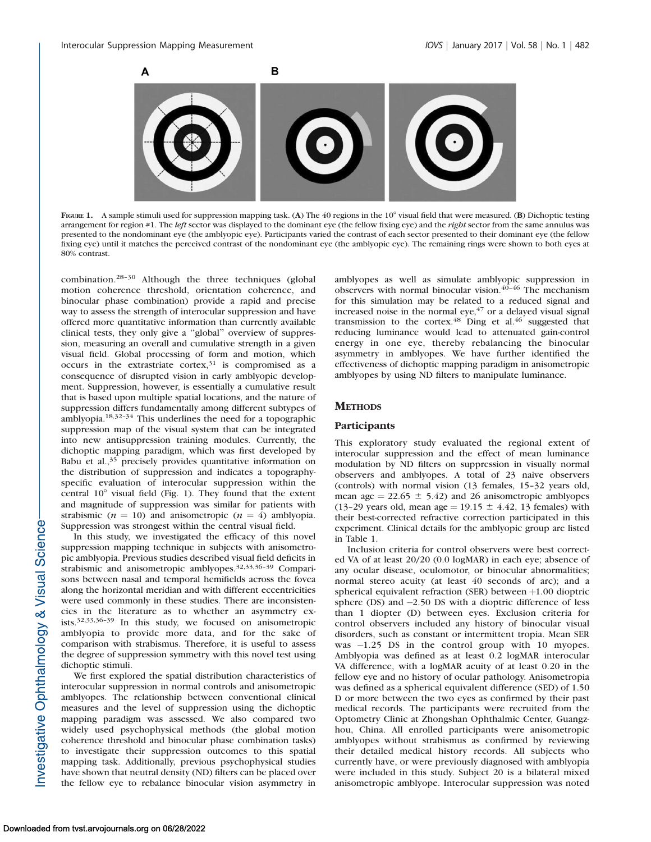

FIGURE 1. A sample stimuli used for suppression mapping task. (A) The 40 regions in the 10° visual field that were measured. (B) Dichoptic testing arrangement for region #1. The left sector was displayed to the dominant eye (the fellow fixing eye) and the right sector from the same annulus was presented to the nondominant eye (the amblyopic eye). Participants varied the contrast of each sector presented to their dominant eye (the fellow fixing eye) until it matches the perceived contrast of the nondominant eye (the amblyopic eye). The remaining rings were shown to both eyes at 80% contrast.

combination.28–30 Although the three techniques (global motion coherence threshold, orientation coherence, and binocular phase combination) provide a rapid and precise way to assess the strength of interocular suppression and have offered more quantitative information than currently available clinical tests, they only give a ''global'' overview of suppression, measuring an overall and cumulative strength in a given visual field. Global processing of form and motion, which occurs in the extrastriate cortex, $31$  is compromised as a consequence of disrupted vision in early amblyopic development. Suppression, however, is essentially a cumulative result that is based upon multiple spatial locations, and the nature of suppression differs fundamentally among different subtypes of amblyopia.18,32–34 This underlines the need for a topographic suppression map of the visual system that can be integrated into new antisuppression training modules. Currently, the dichoptic mapping paradigm, which was first developed by Babu et al.,<sup>35</sup> precisely provides quantitative information on the distribution of suppression and indicates a topographyspecific evaluation of interocular suppression within the central  $10^{\circ}$  visual field (Fig. 1). They found that the extent and magnitude of suppression was similar for patients with strabismic ( $n = 10$ ) and anisometropic ( $n = 4$ ) amblyopia. Suppression was strongest within the central visual field.

In this study, we investigated the efficacy of this novel suppression mapping technique in subjects with anisometropic amblyopia. Previous studies described visual field deficits in strabismic and anisometropic amblyopes.<sup>32,33,36-39</sup> Comparisons between nasal and temporal hemifields across the fovea along the horizontal meridian and with different eccentricities were used commonly in these studies. There are inconsistencies in the literature as to whether an asymmetry exists.32,33,36–39 In this study, we focused on anisometropic amblyopia to provide more data, and for the sake of comparison with strabismus. Therefore, it is useful to assess the degree of suppression symmetry with this novel test using dichoptic stimuli.

We first explored the spatial distribution characteristics of interocular suppression in normal controls and anisometropic amblyopes. The relationship between conventional clinical measures and the level of suppression using the dichoptic mapping paradigm was assessed. We also compared two widely used psychophysical methods (the global motion coherence threshold and binocular phase combination tasks) to investigate their suppression outcomes to this spatial mapping task. Additionally, previous psychophysical studies have shown that neutral density (ND) filters can be placed over the fellow eye to rebalance binocular vision asymmetry in

amblyopes as well as simulate amblyopic suppression in observers with normal binocular vision.<sup>40-46</sup> The mechanism for this simulation may be related to a reduced signal and increased noise in the normal eye, $47$  or a delayed visual signal transmission to the cortex. $48$  Ding et al. $46$  suggested that reducing luminance would lead to attenuated gain-control energy in one eye, thereby rebalancing the binocular asymmetry in amblyopes. We have further identified the effectiveness of dichoptic mapping paradigm in anisometropic amblyopes by using ND filters to manipulate luminance.

#### **METHODS**

#### Participants

This exploratory study evaluated the regional extent of interocular suppression and the effect of mean luminance modulation by ND filters on suppression in visually normal observers and amblyopes. A total of 23 naive observers (controls) with normal vision (13 females, 15–32 years old, mean age =  $22.65 \pm 5.42$ ) and 26 anisometropic amblyopes (13-29 years old, mean age = 19.15  $\pm$  4.42, 13 females) with their best-corrected refractive correction participated in this experiment. Clinical details for the amblyopic group are listed in Table 1.

Inclusion criteria for control observers were best corrected VA of at least 20/20 (0.0 logMAR) in each eye; absence of any ocular disease, oculomotor, or binocular abnormalities; normal stereo acuity (at least 40 seconds of arc); and a spherical equivalent refraction (SER) between  $+1.00$  dioptric sphere (DS) and -2.50 DS with a dioptric difference of less than 1 diopter (D) between eyes. Exclusion criteria for control observers included any history of binocular visual disorders, such as constant or intermittent tropia. Mean SER was -1.25 DS in the control group with 10 myopes. Amblyopia was defined as at least 0.2 logMAR interocular VA difference, with a logMAR acuity of at least 0.20 in the fellow eye and no history of ocular pathology. Anisometropia was defined as a spherical equivalent difference (SED) of 1.50 D or more between the two eyes as confirmed by their past medical records. The participants were recruited from the Optometry Clinic at Zhongshan Ophthalmic Center, Guangzhou, China. All enrolled participants were anisometropic amblyopes without strabismus as confirmed by reviewing their detailed medical history records. All subjects who currently have, or were previously diagnosed with amblyopia were included in this study. Subject 20 is a bilateral mixed anisometropic amblyope. Interocular suppression was noted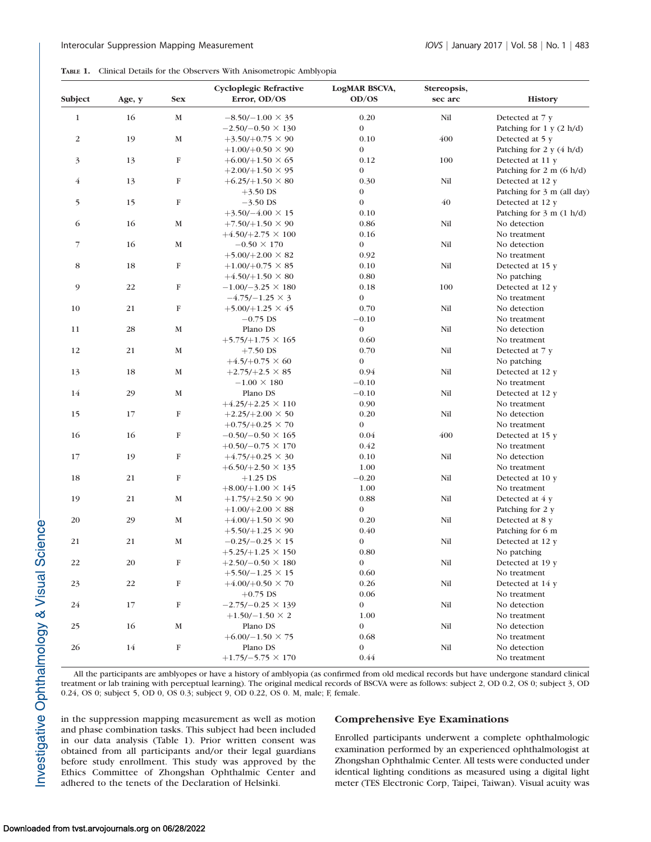|  |  |  |  | <b>TABLE 1.</b> Clinical Details for the Observers With Anisometropic Amblyopia |  |
|--|--|--|--|---------------------------------------------------------------------------------|--|
|--|--|--|--|---------------------------------------------------------------------------------|--|

| Subject        | Age, y | <b>Sex</b>   | <b>Cycloplegic Refractive</b><br>Error, OD/OS | LogMAR BSCVA,<br>OD/OS | Stereopsis,<br>sec arc | <b>History</b>                             |
|----------------|--------|--------------|-----------------------------------------------|------------------------|------------------------|--------------------------------------------|
| $\mathbf{1}$   | 16     | $\mathbf M$  | $-8.50/-1.00 \times 35$                       | 0.20                   | Nil                    | Detected at 7 y                            |
|                |        |              | $-2.50/-0.50 \times 130$                      | $\boldsymbol{0}$       |                        | Patching for $1 y (2 h/d)$                 |
| 2              | 19     | M            | $+3.50/+0.75 \times 90$                       | 0.10                   | 400                    | Detected at 5 y                            |
|                |        |              | $+1.00/+0.50 \times 90$                       | $\boldsymbol{0}$       |                        | Patching for $2 y (4 h/d)$                 |
| 3              | 13     | ${\bf F}$    | $+6.00/+1.50 \times 65$                       | 0.12                   | 100                    | Detected at 11 y                           |
|                |        |              | $+2.00/+1.50 \times 95$                       | $\boldsymbol{0}$       |                        | Patching for $2 \text{ m}$ (6 h/d)         |
| $\overline{4}$ | 13     | ${\bf F}$    | $+6.25/+1.50 \times 80$                       | 0.30                   | Nil                    | Detected at 12 y                           |
|                |        |              | $+3.50$ DS                                    | $\boldsymbol{0}$       |                        | Patching for 3 m (all day)                 |
| 5              | 15     | ${\bf F}$    | $-3.50$ DS                                    | $\boldsymbol{0}$       | 40                     | Detected at 12 y                           |
|                |        |              | $+3.50/-4.00 \times 15$                       | 0.10                   |                        | Patching for $3 \text{ m} (1 \text{ h/d})$ |
| 6              | 16     | M            | $+7.50/+1.50 \times 90$                       | 0.86                   | Nil                    | No detection                               |
|                |        |              | $+4.50/+2.75 \times 100$                      | 0.16                   |                        | No treatment                               |
| 7              | 16     | M            | $-0.50 \times 170$                            | $\boldsymbol{0}$       | Nil                    | No detection                               |
|                |        |              | $+5.00/+2.00 \times 82$                       | 0.92                   |                        | No treatment                               |
| 8              | 18     | ${\bf F}$    | $+1.00/+0.75 \times 85$                       | 0.10                   | Nil                    | Detected at 15 y                           |
|                |        |              | $+4.50/+1.50 \times 80$                       | 0.80                   |                        | No patching                                |
| 9              | 22     | ${\bf F}$    | $-1.00/-3.25 \times 180$                      | 0.18                   | 100                    | Detected at 12 y                           |
|                |        |              | $-4.75/-1.25 \times 3$                        | $\boldsymbol{0}$       |                        | No treatment                               |
| 10             | 21     | ${\bf F}$    | $+5.00/+1.25 \times 45$                       | 0.70                   | Nil                    | No detection                               |
|                |        |              | $-0.75$ DS                                    | $-0.10$                |                        | No treatment                               |
| 11             | 28     | M            | Plano DS                                      | $\boldsymbol{0}$       | Nil                    | No detection                               |
|                |        |              | $+5.75/+1.75 \times 165$                      | 0.60                   |                        | No treatment                               |
| 12             | 21     | M            | $+7.50$ DS                                    | 0.70                   | Nil                    | Detected at 7 y                            |
|                |        |              | $+4.5/+0.75 \times 60$                        | $\boldsymbol{0}$       |                        | No patching                                |
| 13             | 18     | $\mathbf M$  | $+2.75/+2.5 \times 85$                        | 0.94                   | Nil                    | Detected at 12 y                           |
|                |        |              | $-1.00 \times 180$                            | $-0.10$                |                        | No treatment                               |
| 14             | 29     | $\mathbf M$  | Plano DS                                      | $-0.10$                | Nil                    | Detected at 12 y                           |
|                |        |              | $+4.25/+2.25 \times 110$                      | 0.90                   |                        | No treatment                               |
| 15             | 17     | ${\bf F}$    | $+2.25/+2.00 \times 50$                       | 0.20                   | Nil                    | No detection                               |
|                |        |              | $+0.75/+0.25 \times 70$                       | $\boldsymbol{0}$       |                        | No treatment                               |
| 16             | 16     | ${\bf F}$    | $-0.50/-0.50 \times 165$                      | 0.04                   | 400                    | Detected at 15 y                           |
|                |        |              | $+0.50/-0.75 \times 170$                      | 0.42                   |                        | No treatment                               |
| 17             | 19     | ${\bf F}$    | $+4.75/+0.25 \times 30$                       | 0.10                   | Nil                    | No detection                               |
|                |        |              | $+6.50/+2.50 \times 135$                      | 1.00                   |                        | No treatment                               |
| 18             | 21     | $\, {\rm F}$ | $+1.25$ DS                                    | $-0.20$                | Nil                    | Detected at 10 y                           |
|                |        |              | $+8.00/+1.00 \times 145$                      | 1.00                   |                        | No treatment                               |
| 19             | 21     | M            | $+1.75/+2.50 \times 90$                       | 0.88                   | Nil                    | Detected at 4 y                            |
|                |        |              | $+1.00/+2.00 \times 88$                       | $\boldsymbol{0}$       |                        | Patching for 2 y                           |
| 20             | 29     | $\mathbf M$  | $+4.00/+1.50 \times 90$                       | 0.20                   | Nil                    | Detected at 8 y                            |
|                |        |              | $+5.50/+1.25 \times 90$                       | 0.40                   |                        | Patching for 6 m                           |
| 21             | 21     | M            | $-0.25/-0.25 \times 15$                       | $\boldsymbol{0}$       | Nil                    | Detected at 12 y                           |
|                |        |              | $+5.25/+1.25 \times 150$                      | $0.80\,$               |                        | No patching                                |
| 22             | 20     | F            | $+2.50/-0.50 \times 180$                      | $\mathbf{0}$           | Nil                    | Detected at 19 y                           |
|                |        |              | $+5.50/-1.25 \times 15$                       | 0.60                   |                        | No treatment                               |
| 23             | 22     | ${\bf F}$    | $+4.00/+0.50 \times 70$                       | 0.26                   | Nil                    | Detected at 14 y                           |
|                |        |              | $+0.75$ DS                                    | 0.06                   |                        | No treatment                               |
| 24             | 17     | $\, {\rm F}$ | $-2.75/-0.25 \times 139$                      | 0                      | Nil                    | No detection                               |
|                |        |              | $+1.50/-1.50 \times 2$                        | 1.00                   |                        |                                            |
| 25             | 16     | M            | Plano DS                                      | $\boldsymbol{0}$       | Nil                    | No treatment<br>No detection               |
|                |        |              | $+6.00/-1.50 \times 75$                       | 0.68                   |                        | No treatment                               |
| 26             | 14     | F            | Plano DS                                      | 0                      | Nil                    | No detection                               |
|                |        |              |                                               |                        |                        |                                            |
|                |        |              | $+1.75/-5.75 \times 170$                      | 0.44                   |                        | No treatment                               |

All the participants are amblyopes or have a history of amblyopia (as confirmed from old medical records but have undergone standard clinical treatment or lab training with perceptual learning). The original medical records of BSCVA were as follows: subject 2, OD 0.2, OS 0; subject 3, OD 0.24, OS 0; subject 5, OD 0, OS 0.3; subject 9, OD 0.22, OS 0. M, male; F, female.

in the suppression mapping measurement as well as motion and phase combination tasks. This subject had been included in our data analysis (Table 1). Prior written consent was obtained from all participants and/or their legal guardians before study enrollment. This study was approved by the Ethics Committee of Zhongshan Ophthalmic Center and adhered to the tenets of the Declaration of Helsinki.

# Comprehensive Eye Examinations

Enrolled participants underwent a complete ophthalmologic examination performed by an experienced ophthalmologist at Zhongshan Ophthalmic Center. All tests were conducted under identical lighting conditions as measured using a digital light meter (TES Electronic Corp, Taipei, Taiwan). Visual acuity was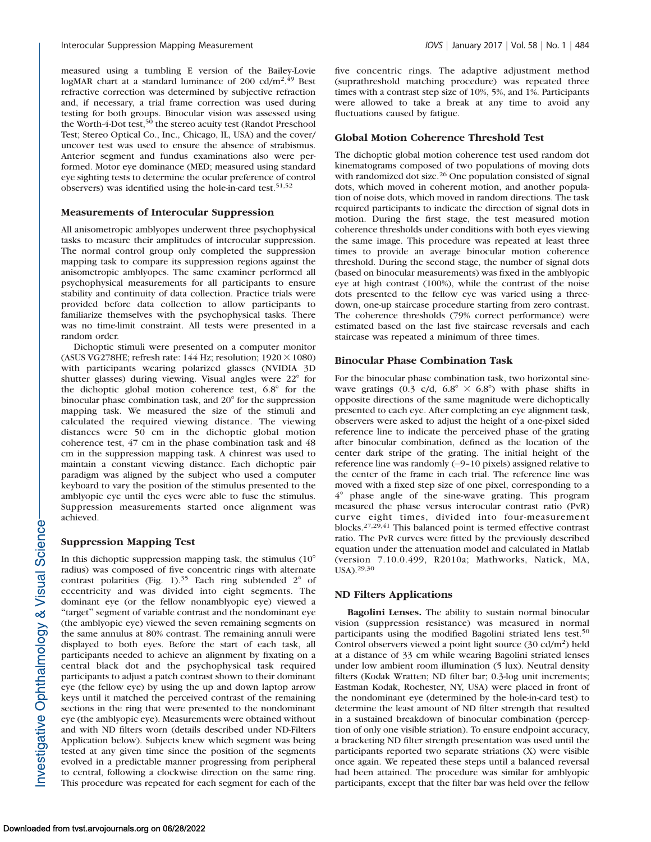measured using a tumbling E version of the Bailey-Lovie logMAR chart at a standard luminance of 200 cd/m<sup>2</sup>.<sup>49</sup> Best refractive correction was determined by subjective refraction and, if necessary, a trial frame correction was used during testing for both groups. Binocular vision was assessed using the Worth-4-Dot test,<sup>50</sup> the stereo acuity test (Randot Preschool Test; Stereo Optical Co., Inc., Chicago, IL, USA) and the cover/ uncover test was used to ensure the absence of strabismus. Anterior segment and fundus examinations also were performed. Motor eye dominance (MED; measured using standard eye sighting tests to determine the ocular preference of control observers) was identified using the hole-in-card test.<sup>51,52</sup>

#### Measurements of Interocular Suppression

All anisometropic amblyopes underwent three psychophysical tasks to measure their amplitudes of interocular suppression. The normal control group only completed the suppression mapping task to compare its suppression regions against the anisometropic amblyopes. The same examiner performed all psychophysical measurements for all participants to ensure stability and continuity of data collection. Practice trials were provided before data collection to allow participants to familiarize themselves with the psychophysical tasks. There was no time-limit constraint. All tests were presented in a random order.

Dichoptic stimuli were presented on a computer monitor (ASUS VG278HE; refresh rate:  $144$  Hz; resolution;  $1920 \times 1080$ ) with participants wearing polarized glasses (NVIDIA 3D shutter glasses) during viewing. Visual angles were  $22^{\circ}$  for the dichoptic global motion coherence test,  $6.8^\circ$  for the binocular phase combination task, and  $20^{\circ}$  for the suppression mapping task. We measured the size of the stimuli and calculated the required viewing distance. The viewing distances were 50 cm in the dichoptic global motion coherence test, 47 cm in the phase combination task and 48 cm in the suppression mapping task. A chinrest was used to maintain a constant viewing distance. Each dichoptic pair paradigm was aligned by the subject who used a computer keyboard to vary the position of the stimulus presented to the amblyopic eye until the eyes were able to fuse the stimulus. Suppression measurements started once alignment was achieved.

#### Suppression Mapping Test

In this dichoptic suppression mapping task, the stimulus  $(10^{\circ}$ radius) was composed of five concentric rings with alternate contrast polarities (Fig. 1).<sup>35</sup> Each ring subtended  $2^{\circ}$  of eccentricity and was divided into eight segments. The dominant eye (or the fellow nonamblyopic eye) viewed a ''target'' segment of variable contrast and the nondominant eye (the amblyopic eye) viewed the seven remaining segments on the same annulus at 80% contrast. The remaining annuli were displayed to both eyes. Before the start of each task, all participants needed to achieve an alignment by fixating on a central black dot and the psychophysical task required participants to adjust a patch contrast shown to their dominant eye (the fellow eye) by using the up and down laptop arrow keys until it matched the perceived contrast of the remaining sections in the ring that were presented to the nondominant eye (the amblyopic eye). Measurements were obtained without and with ND filters worn (details described under ND-Filters Application below). Subjects knew which segment was being tested at any given time since the position of the segments evolved in a predictable manner progressing from peripheral to central, following a clockwise direction on the same ring. This procedure was repeated for each segment for each of the

five concentric rings. The adaptive adjustment method (suprathreshold matching procedure) was repeated three times with a contrast step size of 10%, 5%, and 1%. Participants were allowed to take a break at any time to avoid any fluctuations caused by fatigue.

## Global Motion Coherence Threshold Test

The dichoptic global motion coherence test used random dot kinematograms composed of two populations of moving dots with randomized dot size.<sup>26</sup> One population consisted of signal dots, which moved in coherent motion, and another population of noise dots, which moved in random directions. The task required participants to indicate the direction of signal dots in motion. During the first stage, the test measured motion coherence thresholds under conditions with both eyes viewing the same image. This procedure was repeated at least three times to provide an average binocular motion coherence threshold. During the second stage, the number of signal dots (based on binocular measurements) was fixed in the amblyopic eye at high contrast (100%), while the contrast of the noise dots presented to the fellow eye was varied using a threedown, one-up staircase procedure starting from zero contrast. The coherence thresholds (79% correct performance) were estimated based on the last five staircase reversals and each staircase was repeated a minimum of three times.

#### Binocular Phase Combination Task

For the binocular phase combination task, two horizontal sinewave gratings (0.3 c/d,  $6.8^{\circ} \times 6.8^{\circ}$ ) with phase shifts in opposite directions of the same magnitude were dichoptically presented to each eye. After completing an eye alignment task, observers were asked to adjust the height of a one-pixel sided reference line to indicate the perceived phase of the grating after binocular combination, defined as the location of the center dark stripe of the grating. The initial height of the reference line was randomly (-9–10 pixels) assigned relative to the center of the frame in each trial. The reference line was moved with a fixed step size of one pixel, corresponding to a 48 phase angle of the sine-wave grating. This program measured the phase versus interocular contrast ratio (PvR) curve eight times, divided into four-measurement blocks.27,29,41 This balanced point is termed effective contrast ratio. The PvR curves were fitted by the previously described equation under the attenuation model and calculated in Matlab (version 7.10.0.499, R2010a; Mathworks, Natick, MA, USA).29,30

# ND Filters Applications

Bagolini Lenses. The ability to sustain normal binocular vision (suppression resistance) was measured in normal participants using the modified Bagolini striated lens test.<sup>50</sup> Control observers viewed a point light source  $(30 \text{ cd/m}^2)$  held at a distance of 33 cm while wearing Bagolini striated lenses under low ambient room illumination (5 lux). Neutral density filters (Kodak Wratten; ND filter bar; 0.3-log unit increments; Eastman Kodak, Rochester, NY, USA) were placed in front of the nondominant eye (determined by the hole-in-card test) to determine the least amount of ND filter strength that resulted in a sustained breakdown of binocular combination (perception of only one visible striation). To ensure endpoint accuracy, a bracketing ND filter strength presentation was used until the participants reported two separate striations (X) were visible once again. We repeated these steps until a balanced reversal had been attained. The procedure was similar for amblyopic participants, except that the filter bar was held over the fellow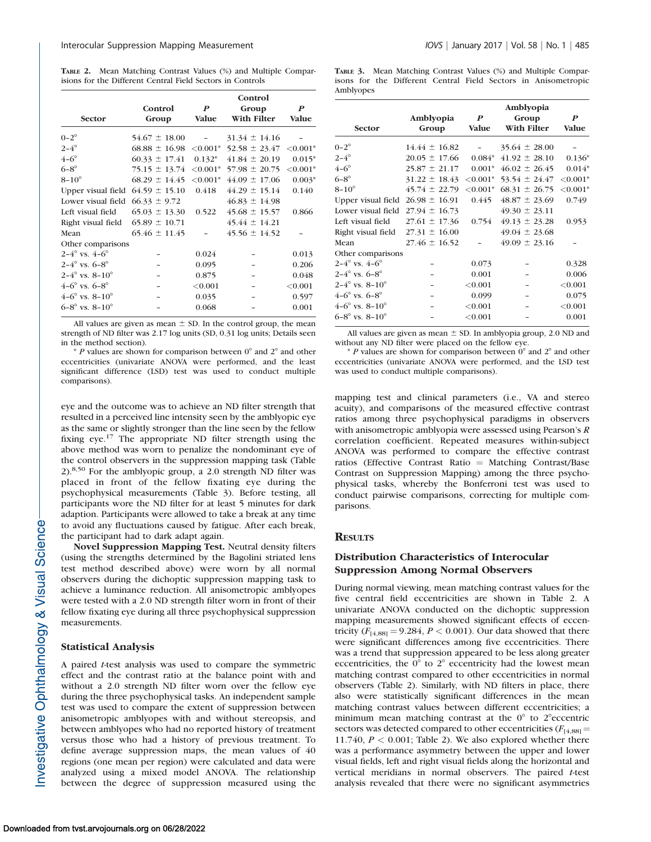TABLE 2. Mean Matching Contrast Values (%) and Multiple Comparisions for the Different Central Field Sectors in Controls

|                                  |                   |              | Control                    |              |  |  |
|----------------------------------|-------------------|--------------|----------------------------|--------------|--|--|
|                                  | Control           | P            | Group                      | P            |  |  |
| <b>Sector</b>                    | Group             | <b>Value</b> | With Filter                | <b>Value</b> |  |  |
| $0-2^\circ$                      | $54.67 \pm 18.00$ |              | $31.34 \pm 14.16$          |              |  |  |
| $2 - 4^{\circ}$                  | $68.88 \pm 16.98$ | ${<}0.001*$  | $52.58 \pm 23.47$          | ${<}0.001*$  |  |  |
| $4-6^\circ$                      | $60.33 \pm 17.41$ | $0.132*$     | $41.84 \pm 20.19$          | $0.015*$     |  |  |
| $6-8^\circ$                      | $75.15 \pm 13.74$ | ${<}0.001*$  | $57.98 \pm 20.75$ < 0.001* |              |  |  |
| $8-10^\circ$                     | $68.29 \pm 14.45$ | $< 0.001*$   | $44.09 \pm 17.06$          | $0.003*$     |  |  |
| Upper visual field               | $64.59 \pm 15.10$ | 0.418        | $44.29 \pm 15.14$          | 0.140        |  |  |
| Lower visual field               | $66.33 \pm 9.72$  |              | $46.83 \pm 14.98$          |              |  |  |
| Left visual field                | $65.03 \pm 13.30$ | 0.522        | $45.68 \pm 15.57$          | 0.866        |  |  |
| Right visual field               | $65.89 \pm 10.71$ |              | $45.44 \pm 14.21$          |              |  |  |
| Mean                             | $65.46 \pm 11.45$ |              | $45.56 \pm 14.52$          |              |  |  |
| Other comparisons                |                   |              |                            |              |  |  |
| $2-4^{\circ}$ vs. $4-6^{\circ}$  |                   | 0.024        |                            | 0.013        |  |  |
| $2-4^{\circ}$ vs. 6-8 $^{\circ}$ |                   | 0.095        |                            | 0.206        |  |  |
| $2-4^{\circ}$ vs. $8-10^{\circ}$ |                   | 0.875        |                            | 0.048        |  |  |
| $4-6^{\circ}$ vs. $6-8^{\circ}$  |                   | < 0.001      |                            | ${<}0.001$   |  |  |
| $4-6^{\circ}$ vs. $8-10^{\circ}$ |                   | 0.035        |                            | 0.597        |  |  |
| $6-8^\circ$ vs. $8-10^\circ$     |                   | 0.068        |                            | 0.001        |  |  |

All values are given as mean  $\pm$  SD. In the control group, the mean strength of ND filter was 2.17 log units (SD, 0.31 log units; Details seen in the method section).

 $P$  values are shown for comparison between  $0^{\circ}$  and  $2^{\circ}$  and other eccentricities (univariate ANOVA were performed, and the least significant difference (LSD) test was used to conduct multiple comparisons).

eye and the outcome was to achieve an ND filter strength that resulted in a perceived line intensity seen by the amblyopic eye as the same or slightly stronger than the line seen by the fellow fixing eye.<sup>17</sup> The appropriate ND filter strength using the above method was worn to penalize the nondominant eye of the control observers in the suppression mapping task (Table 2).8,50 For the amblyopic group, a 2.0 strength ND filter was placed in front of the fellow fixating eye during the psychophysical measurements (Table 3). Before testing, all participants wore the ND filter for at least 5 minutes for dark adaption. Participants were allowed to take a break at any time to avoid any fluctuations caused by fatigue. After each break, the participant had to dark adapt again.

Novel Suppression Mapping Test. Neutral density filters (using the strengths determined by the Bagolini striated lens test method described above) were worn by all normal observers during the dichoptic suppression mapping task to achieve a luminance reduction. All anisometropic amblyopes were tested with a 2.0 ND strength filter worn in front of their fellow fixating eye during all three psychophysical suppression measurements.

#### Statistical Analysis

A paired t-test analysis was used to compare the symmetric effect and the contrast ratio at the balance point with and without a 2.0 strength ND filter worn over the fellow eye during the three psychophysical tasks. An independent sample test was used to compare the extent of suppression between anisometropic amblyopes with and without stereopsis, and between amblyopes who had no reported history of treatment versus those who had a history of previous treatment. To define average suppression maps, the mean values of 40 regions (one mean per region) were calculated and data were analyzed using a mixed model ANOVA. The relationship between the degree of suppression measured using the

TABLE 3. Mean Matching Contrast Values (%) and Multiple Comparisons for the Different Central Field Sectors in Anisometropic Amblyopes

|                                      |                   |                  | Amblyopia         |              |  |  |
|--------------------------------------|-------------------|------------------|-------------------|--------------|--|--|
|                                      | Amblyopia         | $\boldsymbol{P}$ | Group             | P            |  |  |
| <b>Sector</b>                        | Group             | <b>Value</b>     | With Filter       | <b>Value</b> |  |  |
| $0-2^\circ$                          | $14.44 \pm 16.82$ |                  | $35.64 \pm 28.00$ |              |  |  |
| $2 - 4^{\circ}$                      | $20.05 \pm 17.66$ | $0.084*$         | $41.92 \pm 28.10$ | $0.136*$     |  |  |
| $4-6^\circ$                          | $25.87 \pm 21.17$ | $0.001*$         | $46.02 \pm 26.45$ | $0.014*$     |  |  |
| $6-8^\circ$                          | $31.22 \pm 18.43$ | ${<}0.001*$      | $53.54 \pm 24.47$ | ${<}0.001*$  |  |  |
| $8-10^\circ$                         | $45.74 \pm 22.79$ | $< 0.001*$       | $68.31 \pm 26.75$ | $< 0.001*$   |  |  |
| Upper visual field                   | $26.98 \pm 16.91$ | 0.445            | $48.87 \pm 23.69$ | 0.749        |  |  |
| Lower visual field                   | $27.94 \pm 16.73$ |                  | $49.30 \pm 23.11$ |              |  |  |
| Left visual field                    | $27.61 \pm 17.36$ | 0.754            | $49.13 \pm 23.28$ | 0.953        |  |  |
| Right visual field                   | $27.31 \pm 16.00$ |                  | $49.04 \pm 23.68$ |              |  |  |
| Mean                                 | $27.46 \pm 16.52$ |                  | $49.09 \pm 23.16$ |              |  |  |
| Other comparisons                    |                   |                  |                   |              |  |  |
| $2-4^{\circ}$ vs. $4-6^{\circ}$      |                   | 0.073            |                   | 0.328        |  |  |
| $2-4^{\circ}$ vs. 6-8 <sup>o</sup>   |                   | 0.001            |                   | 0.006        |  |  |
| $2-4^{\circ}$ vs. $8-10^{\circ}$     |                   | < 0.001          |                   | < 0.001      |  |  |
| $4-6^{\circ}$ vs. $6-8^{\circ}$      |                   | 0.099            |                   | 0.075        |  |  |
| $4-6^{\circ}$ vs. $8-10^{\circ}$     |                   | < 0.001          |                   | < 0.001      |  |  |
| $6 - 8^{\circ}$ vs. $8 - 10^{\circ}$ |                   | < 0.001          |                   | 0.001        |  |  |

All values are given as mean  $\pm$  SD. In amblyopia group, 2.0 ND and without any ND filter were placed on the fellow eye.

 $*$  P values are shown for comparison between  $0^{\circ}$  and  $2^{\circ}$  and other eccentricities (univariate ANOVA were performed, and the LSD test was used to conduct multiple comparisons).

mapping test and clinical parameters (i.e., VA and stereo acuity), and comparisons of the measured effective contrast ratios among three psychophysical paradigms in observers with anisometropic amblyopia were assessed using Pearson's R correlation coefficient. Repeated measures within-subject ANOVA was performed to compare the effective contrast ratios (Effective Contrast Ratio = Matching Contrast/Base Contrast on Suppression Mapping) among the three psychophysical tasks, whereby the Bonferroni test was used to conduct pairwise comparisons, correcting for multiple comparisons.

## **RESULTS**

#### Distribution Characteristics of Interocular Suppression Among Normal Observers

During normal viewing, mean matching contrast values for the five central field eccentricities are shown in Table 2. A univariate ANOVA conducted on the dichoptic suppression mapping measurements showed significant effects of eccentricity  $(F_{[4,88]} = 9.284, P < 0.001)$ . Our data showed that there were significant differences among five eccentricities. There was a trend that suppression appeared to be less along greater eccentricities, the  $0^{\circ}$  to  $2^{\circ}$  eccentricity had the lowest mean matching contrast compared to other eccentricities in normal observers (Table 2). Similarly, with ND filters in place, there also were statistically significant differences in the mean matching contrast values between different eccentricities; a minimum mean matching contrast at the  $0^{\circ}$  to 2 $^{\circ}$ eccentric sectors was detected compared to other eccentricities  $(F_{[4,88]} =$ 11.740,  $P < 0.001$ ; Table 2). We also explored whether there was a performance asymmetry between the upper and lower visual fields, left and right visual fields along the horizontal and vertical meridians in normal observers. The paired t-test analysis revealed that there were no significant asymmetries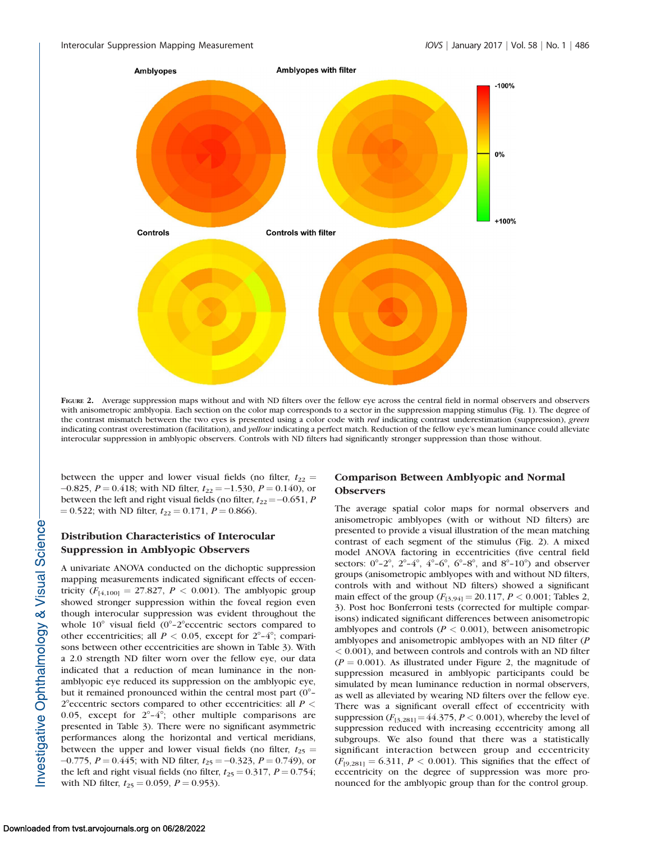

FIGURE 2. Average suppression maps without and with ND filters over the fellow eye across the central field in normal observers and observers with anisometropic amblyopia. Each section on the color map corresponds to a sector in the suppression mapping stimulus (Fig. 1). The degree of the contrast mismatch between the two eyes is presented using a color code with red indicating contrast underestimation (suppression), green indicating contrast overestimation (facilitation), and yellow indicating a perfect match. Reduction of the fellow eye's mean luminance could alleviate interocular suppression in amblyopic observers. Controls with ND filters had significantly stronger suppression than those without.

between the upper and lower visual fields (no filter,  $t_{22}$  =  $-0.825$ ,  $P = 0.418$ ; with ND filter,  $t_{22} = -1.530$ ,  $P = 0.140$ ), or between the left and right visual fields (no filter,  $t_{22} = -0.651$ , P  $= 0.522$ ; with ND filter,  $t_{22} = 0.171$ ,  $P = 0.866$ ).

# Distribution Characteristics of Interocular Suppression in Amblyopic Observers

A univariate ANOVA conducted on the dichoptic suppression mapping measurements indicated significant effects of eccentricity ( $F_{[4,100]} = 27.827$ ,  $P < 0.001$ ). The amblyopic group showed stronger suppression within the foveal region even though interocular suppression was evident throughout the whole  $10^{\circ}$  visual field  $(0^{\circ}-2^{\circ})$ eccentric sectors compared to other eccentricities; all  $P < 0.05$ , except for  $2^{\circ} - 4^{\circ}$ ; comparisons between other eccentricities are shown in Table 3). With a 2.0 strength ND filter worn over the fellow eye, our data indicated that a reduction of mean luminance in the nonamblyopic eye reduced its suppression on the amblyopic eye, but it remained pronounced within the central most part  $(0^{\circ}$ -2° eccentric sectors compared to other eccentricities: all  $P \lt \mathcal{E}$ 0.05, except for  $2^{\circ} - 4^{\circ}$ ; other multiple comparisons are presented in Table 3). There were no significant asymmetric performances along the horizontal and vertical meridians, between the upper and lower visual fields (no filter,  $t_{25}$  =  $-0.775$ ,  $P = 0.445$ ; with ND filter,  $t_{25} = -0.323$ ,  $P = 0.749$ ), or the left and right visual fields (no filter,  $t_{25} = 0.317$ ,  $P = 0.754$ ; with ND filter,  $t_{25} = 0.059$ ,  $P = 0.953$ ).

## Comparison Between Amblyopic and Normal **Observers**

The average spatial color maps for normal observers and anisometropic amblyopes (with or without ND filters) are presented to provide a visual illustration of the mean matching contrast of each segment of the stimulus (Fig. 2). A mixed model ANOVA factoring in eccentricities (five central field sectors:  $0^{\circ}$ -2°,  $2^{\circ}$ -4°,  $4^{\circ}$ -6°,  $6^{\circ}$ -8°, and  $8^{\circ}$ -10°) and observer groups (anisometropic amblyopes with and without ND filters, controls with and without ND filters) showed a significant main effect of the group ( $F_{[3,94]} = 20.117$ ,  $P < 0.001$ ; Tables 2, 3). Post hoc Bonferroni tests (corrected for multiple comparisons) indicated significant differences between anisometropic amblyopes and controls ( $P < 0.001$ ), between anisometropic amblyopes and anisometropic amblyopes with an ND filter (P < 0.001), and between controls and controls with an ND filter  $(P = 0.001)$ . As illustrated under Figure 2, the magnitude of suppression measured in amblyopic participants could be simulated by mean luminance reduction in normal observers, as well as alleviated by wearing ND filters over the fellow eye. There was a significant overall effect of eccentricity with suppression  $(F_{[3,281]} = 44.375, P < 0.001)$ , whereby the level of suppression reduced with increasing eccentricity among all subgroups. We also found that there was a statistically significant interaction between group and eccentricity  $(F_{[9,281]} = 6.311, P < 0.001)$ . This signifies that the effect of eccentricity on the degree of suppression was more pronounced for the amblyopic group than for the control group.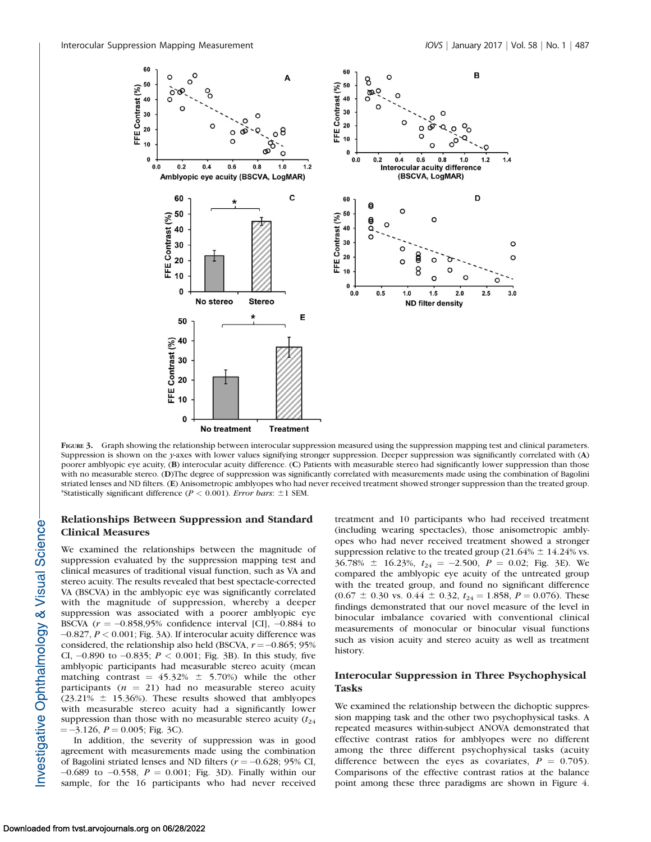

FIGURE 3. Graph showing the relationship between interocular suppression measured using the suppression mapping test and clinical parameters. Suppression is shown on the  $\gamma$ -axes with lower values signifying stronger suppression. Deeper suppression was significantly correlated with (A) poorer amblyopic eye acuity, (B) interocular acuity difference. (C) Patients with measurable stereo had significantly lower suppression than those with no measurable stereo. (D)The degree of suppression was significantly correlated with measurements made using the combination of Bagolini striated lenses and ND filters. (E) Anisometropic amblyopes who had never received treatment showed stronger suppression than the treated group. \*Statistically significant difference ( $P < 0.001$ ). *Error bars*:  $\pm 1$  SEM.

## Relationships Between Suppression and Standard Clinical Measures

We examined the relationships between the magnitude of suppression evaluated by the suppression mapping test and clinical measures of traditional visual function, such as VA and stereo acuity. The results revealed that best spectacle-corrected VA (BSCVA) in the amblyopic eye was significantly correlated with the magnitude of suppression, whereby a deeper suppression was associated with a poorer amblyopic eye BSCVA  $(r = -0.858,95\%$  confidence interval [CI],  $-0.884$  to  $-0.827$ ,  $P < 0.001$ ; Fig. 3A). If interocular acuity difference was considered, the relationship also held (BSCVA,  $r = -0.865$ ; 95% CI,  $-0.890$  to  $-0.835$ ;  $P < 0.001$ ; Fig. 3B). In this study, five amblyopic participants had measurable stereo acuity (mean matching contrast =  $45.32\% \pm 5.70\%$ ) while the other participants  $(n = 21)$  had no measurable stereo acuity  $(23.21\% \pm 15.36\%)$ . These results showed that amblyopes with measurable stereo acuity had a significantly lower suppression than those with no measurable stereo acuity  $(t_{24})$  $=-3.126, P = 0.005$ ; Fig. 3C).

In addition, the severity of suppression was in good agreement with measurements made using the combination of Bagolini striated lenses and ND filters  $(r = -0.628; 95\% \text{ CI},$  $-0.689$  to  $-0.558$ ,  $P = 0.001$ ; Fig. 3D). Finally within our sample, for the 16 participants who had never received treatment and 10 participants who had received treatment (including wearing spectacles), those anisometropic amblyopes who had never received treatment showed a stronger suppression relative to the treated group (21.64%  $\pm$  14.24% vs.  $36.78\% \pm 16.23\%, t_{24} = -2.500, P = 0.02$ ; Fig. 3E). We compared the amblyopic eye acuity of the untreated group with the treated group, and found no significant difference  $(0.67 \pm 0.30 \text{ vs. } 0.44 \pm 0.32, t_{24} = 1.858, P = 0.076)$ . These findings demonstrated that our novel measure of the level in binocular imbalance covaried with conventional clinical measurements of monocular or binocular visual functions such as vision acuity and stereo acuity as well as treatment history.

## Interocular Suppression in Three Psychophysical Tasks

We examined the relationship between the dichoptic suppression mapping task and the other two psychophysical tasks. A repeated measures within-subject ANOVA demonstrated that effective contrast ratios for amblyopes were no different among the three different psychophysical tasks (acuity difference between the eyes as covariates,  $P = 0.705$ . Comparisons of the effective contrast ratios at the balance point among these three paradigms are shown in Figure 4.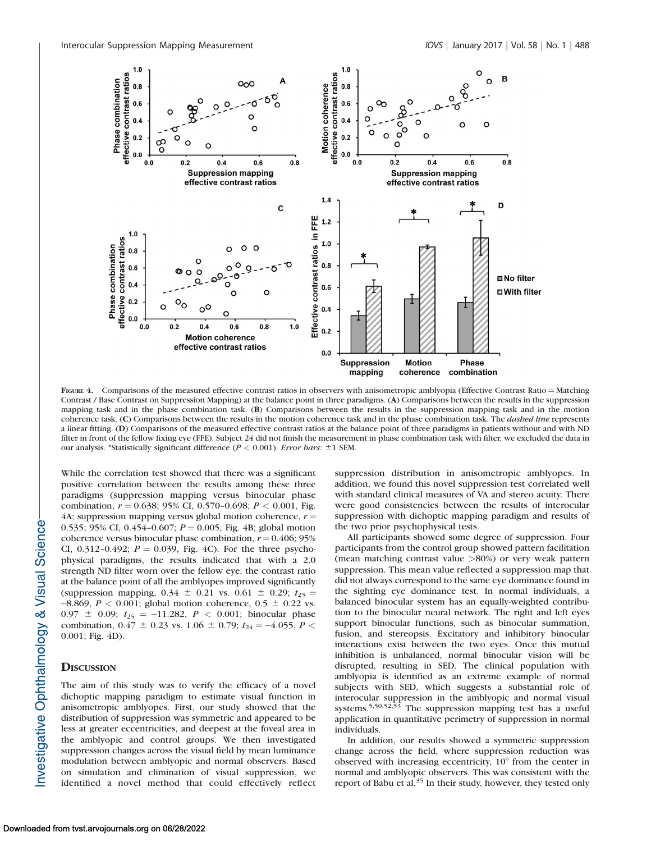

FIGURE  $4$ . Comparisons of the measured effective contrast ratios in observers with anisometropic amblyopia (Effective Contrast Ratio = Matching Contrast / Base Contrast on Suppression Mapping) at the balance point in three paradigms. (A) Comparisons between the results in the suppression mapping task and in the phase combination task. (B) Comparisons between the results in the suppression mapping task and in the motion coherence task. (C) Comparisons between the results in the motion coherence task and in the phase combination task. The *dashed line* represents a linear fitting. (D) Comparisons of the measured effective contrast ratios at the balance point of three paradigms in patients without and with ND filter in front of the fellow fixing eye (FFE). Subject 24 did not finish the measurement in phase combination task with filter, we excluded the data in our analysis. \*Statistically significant difference ( $P < 0.001$ ). *Error bars*:  $\pm 1$  SEM.

While the correlation test showed that there was a significant positive correlation between the results among these three paradigms (suppression mapping versus binocular phase combination,  $r = 0.638$ ; 95% CI, 0.570-0.698;  $P < 0.001$ , Fig. 4A; suppression mapping versus global motion coherence,  $r =$ 0.535; 95% CI, 0.454-0.607;  $P = 0.005$ , Fig. 4B; global motion coherence versus binocular phase combination,  $r = 0.406$ ; 95% CI, 0.312-0.492;  $P = 0.039$ , Fig. 4C). For the three psychophysical paradigms, the results indicated that with a 2.0 strength ND filter worn over the fellow eye, the contrast ratio at the balance point of all the amblyopes improved significantly (suppression mapping, 0.34  $\pm$  0.21 vs. 0.61  $\pm$  0.29;  $t_{25}$  =  $-8.869$ ,  $P < 0.001$ ; global motion coherence,  $0.5 \pm 0.22$  vs.  $0.97 \pm 0.09$ ;  $t_{25} = -11.282$ ,  $P < 0.001$ ; binocular phase combination, 0.47  $\pm$  0.23 vs. 1.06  $\pm$  0.79;  $t_{24} = -4.055$ ,  $P \lt \sqrt{ }$ 0.001; Fig. 4D).

#### **DISCUSSION**

The aim of this study was to verify the efficacy of a novel dichoptic mapping paradigm to estimate visual function in anisometropic amblyopes. First, our study showed that the distribution of suppression was symmetric and appeared to be less at greater eccentricities, and deepest at the foveal area in the amblyopic and control groups. We then investigated suppression changes across the visual field by mean luminance modulation between amblyopic and normal observers. Based on simulation and elimination of visual suppression, we identified a novel method that could effectively reflect suppression distribution in anisometropic amblyopes. In addition, we found this novel suppression test correlated well with standard clinical measures of VA and stereo acuity. There were good consistencies between the results of interocular suppression with dichoptic mapping paradigm and results of the two prior psychophysical tests.

All participants showed some degree of suppression. Four participants from the control group showed pattern facilitation (mean matching contrast value >80%) or very weak pattern suppression. This mean value reflected a suppression map that did not always correspond to the same eye dominance found in the sighting eye dominance test. In normal individuals, a balanced binocular system has an equally-weighted contribution to the binocular neural network. The right and left eyes support binocular functions, such as binocular summation, fusion, and stereopsis. Excitatory and inhibitory binocular interactions exist between the two eyes. Once this mutual inhibition is unbalanced, normal binocular vision will be disrupted, resulting in SED. The clinical population with amblyopia is identified as an extreme example of normal subjects with SED, which suggests a substantial role of interocular suppression in the amblyopic and normal visual systems.5,50,52,53 The suppression mapping test has a useful application in quantitative perimetry of suppression in normal individuals.

In addition, our results showed a symmetric suppression change across the field, where suppression reduction was observed with increasing eccentricity,  $10^{\circ}$  from the center in normal and amblyopic observers. This was consistent with the report of Babu et al.<sup>35</sup> In their study, however, they tested only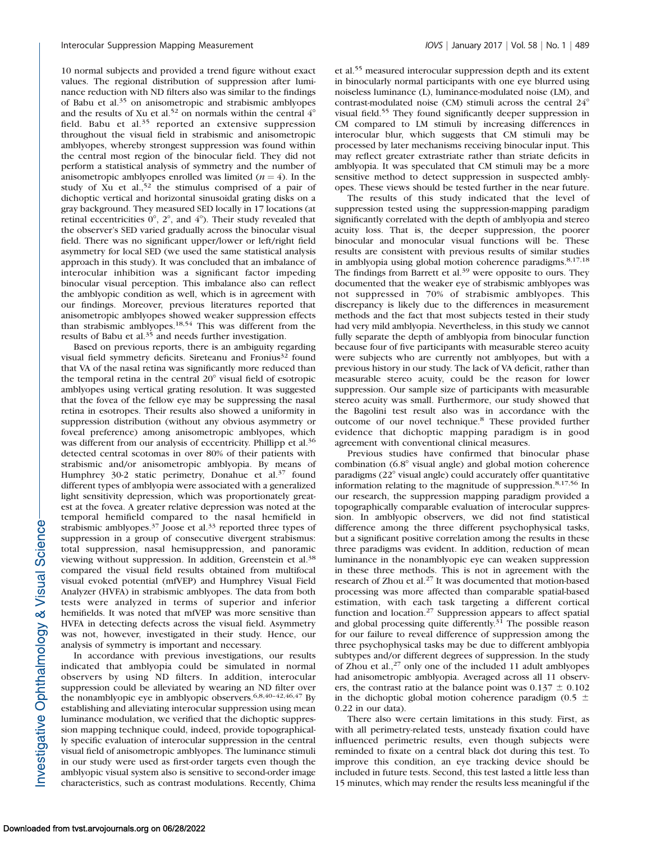10 normal subjects and provided a trend figure without exact values. The regional distribution of suppression after luminance reduction with ND filters also was similar to the findings of Babu et al.<sup>35</sup> on anisometropic and strabismic amblyopes and the results of Xu et al.<sup>52</sup> on normals within the central  $4^\circ$ field. Babu et al.<sup>35</sup> reported an extensive suppression throughout the visual field in strabismic and anisometropic amblyopes, whereby strongest suppression was found within the central most region of the binocular field. They did not perform a statistical analysis of symmetry and the number of anisometropic amblyopes enrolled was limited ( $n = 4$ ). In the study of Xu et al.,<sup>52</sup> the stimulus comprised of a pair of dichoptic vertical and horizontal sinusoidal grating disks on a gray background. They measured SED locally in 17 locations (at retinal eccentricities  $0^\circ$ ,  $2^\circ$ , and  $4^\circ$ ). Their study revealed that the observer's SED varied gradually across the binocular visual field. There was no significant upper/lower or left/right field asymmetry for local SED (we used the same statistical analysis approach in this study). It was concluded that an imbalance of interocular inhibition was a significant factor impeding binocular visual perception. This imbalance also can reflect the amblyopic condition as well, which is in agreement with our findings. Moreover, previous literatures reported that anisometropic amblyopes showed weaker suppression effects than strabismic amblyopes.18,54 This was different from the results of Babu et al.<sup>35</sup> and needs further investigation.

Based on previous reports, there is an ambiguity regarding visual field symmetry deficits. Sireteanu and Fronius<sup>32</sup> found that VA of the nasal retina was significantly more reduced than the temporal retina in the central  $20^{\circ}$  visual field of esotropic amblyopes using vertical grating resolution. It was suggested that the fovea of the fellow eye may be suppressing the nasal retina in esotropes. Their results also showed a uniformity in suppression distribution (without any obvious asymmetry or foveal preference) among anisometropic amblyopes, which was different from our analysis of eccentricity. Phillipp et al.<sup>36</sup> detected central scotomas in over 80% of their patients with strabismic and/or anisometropic amblyopia. By means of Humphrey 30-2 static perimetry, Donahue et al.<sup>37</sup> found different types of amblyopia were associated with a generalized light sensitivity depression, which was proportionately greatest at the fovea. A greater relative depression was noted at the temporal hemifield compared to the nasal hemifield in strabismic amblyopes.<sup>37</sup> Joose et al.<sup>33</sup> reported three types of suppression in a group of consecutive divergent strabismus: total suppression, nasal hemisuppression, and panoramic viewing without suppression. In addition, Greenstein et al.<sup>38</sup> compared the visual field results obtained from multifocal visual evoked potential (mfVEP) and Humphrey Visual Field Analyzer (HVFA) in strabismic amblyopes. The data from both tests were analyzed in terms of superior and inferior hemifields. It was noted that mfVEP was more sensitive than HVFA in detecting defects across the visual field. Asymmetry was not, however, investigated in their study. Hence, our analysis of symmetry is important and necessary.

In accordance with previous investigations, our results indicated that amblyopia could be simulated in normal observers by using ND filters. In addition, interocular suppression could be alleviated by wearing an ND filter over the nonamblyopic eye in amblyopic observers.<sup>6,8,40-42,46,47</sup> By establishing and alleviating interocular suppression using mean luminance modulation, we verified that the dichoptic suppression mapping technique could, indeed, provide topographically specific evaluation of interocular suppression in the central visual field of anisometropic amblyopes. The luminance stimuli in our study were used as first-order targets even though the amblyopic visual system also is sensitive to second-order image characteristics, such as contrast modulations. Recently, Chima

et al.<sup>55</sup> measured interocular suppression depth and its extent in binocularly normal participants with one eye blurred using noiseless luminance (L), luminance-modulated noise (LM), and contrast-modulated noise (CM) stimuli across the central  $24^{\circ}$ visual field.<sup>55</sup> They found significantly deeper suppression in CM compared to LM stimuli by increasing differences in interocular blur, which suggests that CM stimuli may be processed by later mechanisms receiving binocular input. This may reflect greater extrastriate rather than striate deficits in amblyopia. It was speculated that CM stimuli may be a more sensitive method to detect suppression in suspected amblyopes. These views should be tested further in the near future.

The results of this study indicated that the level of suppression tested using the suppression-mapping paradigm significantly correlated with the depth of amblyopia and stereo acuity loss. That is, the deeper suppression, the poorer binocular and monocular visual functions will be. These results are consistent with previous results of similar studies in amblyopia using global motion coherence paradigms.8,17,18 The findings from Barrett et al. $39$  were opposite to ours. They documented that the weaker eye of strabismic amblyopes was not suppressed in 70% of strabismic amblyopes. This discrepancy is likely due to the differences in measurement methods and the fact that most subjects tested in their study had very mild amblyopia. Nevertheless, in this study we cannot fully separate the depth of amblyopia from binocular function because four of five participants with measurable stereo acuity were subjects who are currently not amblyopes, but with a previous history in our study. The lack of VA deficit, rather than measurable stereo acuity, could be the reason for lower suppression. Our sample size of participants with measurable stereo acuity was small. Furthermore, our study showed that the Bagolini test result also was in accordance with the outcome of our novel technique.8 These provided further evidence that dichoptic mapping paradigm is in good agreement with conventional clinical measures.

Previous studies have confirmed that binocular phase combination  $(6.8^\circ$  visual angle) and global motion coherence paradigms  $(22<sup>°</sup>$  visual angle) could accurately offer quantitative information relating to the magnitude of suppression.8,17,56 In our research, the suppression mapping paradigm provided a topographically comparable evaluation of interocular suppression. In amblyopic observers, we did not find statistical difference among the three different psychophysical tasks, but a significant positive correlation among the results in these three paradigms was evident. In addition, reduction of mean luminance in the nonamblyopic eye can weaken suppression in these three methods. This is not in agreement with the research of Zhou et al.<sup>27</sup> It was documented that motion-based processing was more affected than comparable spatial-based estimation, with each task targeting a different cortical function and location.<sup>27</sup> Suppression appears to affect spatial and global processing quite differently. $31$  The possible reason for our failure to reveal difference of suppression among the three psychophysical tasks may be due to different amblyopia subtypes and/or different degrees of suppression. In the study of Zhou et al.,27 only one of the included 11 adult amblyopes had anisometropic amblyopia. Averaged across all 11 observers, the contrast ratio at the balance point was  $0.137 \pm 0.102$ in the dichoptic global motion coherence paradigm (0.5  $\pm$ 0.22 in our data).

There also were certain limitations in this study. First, as with all perimetry-related tests, unsteady fixation could have influenced perimetric results, even though subjects were reminded to fixate on a central black dot during this test. To improve this condition, an eye tracking device should be included in future tests. Second, this test lasted a little less than 15 minutes, which may render the results less meaningful if the

nvestigative Ophthalmology & Visual Science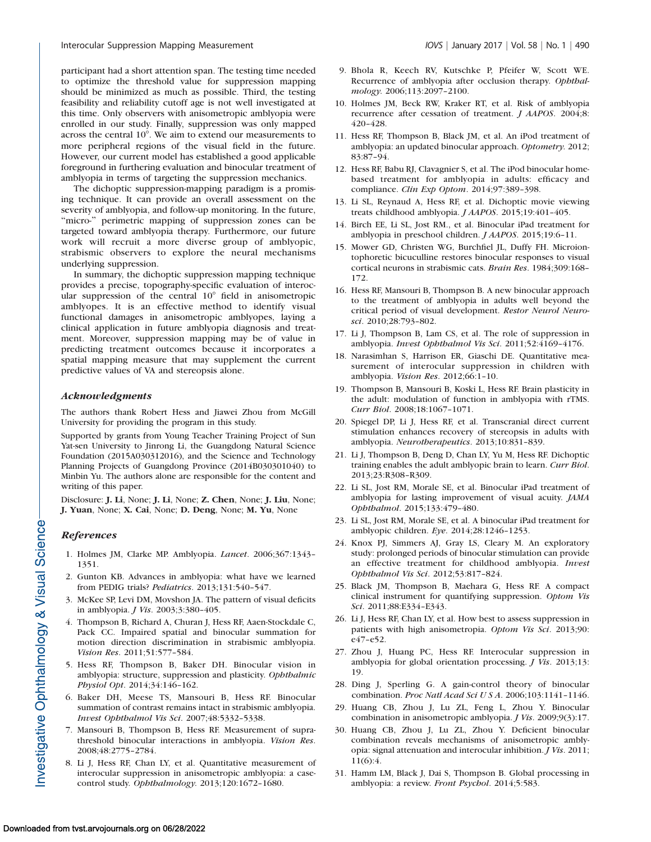participant had a short attention span. The testing time needed to optimize the threshold value for suppression mapping should be minimized as much as possible. Third, the testing feasibility and reliability cutoff age is not well investigated at this time. Only observers with anisometropic amblyopia were enrolled in our study. Finally, suppression was only mapped across the central  $10^{\circ}$ . We aim to extend our measurements to more peripheral regions of the visual field in the future. However, our current model has established a good applicable foreground in furthering evaluation and binocular treatment of amblyopia in terms of targeting the suppression mechanics.

The dichoptic suppression-mapping paradigm is a promising technique. It can provide an overall assessment on the severity of amblyopia, and follow-up monitoring. In the future, "micro-" perimetric mapping of suppression zones can be targeted toward amblyopia therapy. Furthermore, our future work will recruit a more diverse group of amblyopic, strabismic observers to explore the neural mechanisms underlying suppression.

In summary, the dichoptic suppression mapping technique provides a precise, topography-specific evaluation of interocular suppression of the central  $10^{\circ}$  field in anisometropic amblyopes. It is an effective method to identify visual functional damages in anisometropic amblyopes, laying a clinical application in future amblyopia diagnosis and treatment. Moreover, suppression mapping may be of value in predicting treatment outcomes because it incorporates a spatial mapping measure that may supplement the current predictive values of VA and stereopsis alone.

#### Acknowledgments

The authors thank Robert Hess and Jiawei Zhou from McGill University for providing the program in this study.

Supported by grants from Young Teacher Training Project of Sun Yat-sen University to Jinrong Li, the Guangdong Natural Science Foundation (2015A030312016), and the Science and Technology Planning Projects of Guangdong Province (2014B030301040) to Minbin Yu. The authors alone are responsible for the content and writing of this paper.

Disclosure: J. Li, None; J. Li, None; Z. Chen, None; J. Liu, None; J. Yuan, None; X. Cai, None; D. Deng, None; M. Yu, None

#### References

- 1. Holmes JM, Clarke MP. Amblyopia. Lancet. 2006;367:1343– 1351.
- 2. Gunton KB. Advances in amblyopia: what have we learned from PEDIG trials? Pediatrics. 2013;131:540–547.
- 3. McKee SP, Levi DM, Movshon JA. The pattern of visual deficits in amblyopia. J Vis. 2003;3:380–405.
- 4. Thompson B, Richard A, Churan J, Hess RF, Aaen-Stockdale C, Pack CC. Impaired spatial and binocular summation for motion direction discrimination in strabismic amblyopia. Vision Res. 2011;51:577–584.
- 5. Hess RF, Thompson B, Baker DH. Binocular vision in amblyopia: structure, suppression and plasticity. Ophthalmic Physiol Opt. 2014;34:146–162.
- 6. Baker DH, Meese TS, Mansouri B, Hess RF. Binocular summation of contrast remains intact in strabismic amblyopia. Invest Ophthalmol Vis Sci. 2007;48:5332–5338.
- 7. Mansouri B, Thompson B, Hess RF. Measurement of suprathreshold binocular interactions in amblyopia. Vision Res. 2008;48:2775–2784.
- 8. Li J, Hess RF, Chan LY, et al. Quantitative measurement of interocular suppression in anisometropic amblyopia: a casecontrol study. Ophthalmology. 2013;120:1672–1680.
- 9. Bhola R, Keech RV, Kutschke P, Pfeifer W, Scott WE. Recurrence of amblyopia after occlusion therapy. Ophthalmology. 2006;113:2097–2100.
- 10. Holmes JM, Beck RW, Kraker RT, et al. Risk of amblyopia recurrence after cessation of treatment. J AAPOS. 2004;8: 420–428.
- 11. Hess RF, Thompson B, Black JM, et al. An iPod treatment of amblyopia: an updated binocular approach. Optometry. 2012; 83:87–94.
- 12. Hess RF, Babu RJ, Clavagnier S, et al. The iPod binocular homebased treatment for amblyopia in adults: efficacy and compliance. Clin Exp Optom. 2014;97:389–398.
- 13. Li SL, Reynaud A, Hess RF, et al. Dichoptic movie viewing treats childhood amblyopia. J AAPOS. 2015;19:401–405.
- 14. Birch EE, Li SL, Jost RM., et al. Binocular iPad treatment for amblyopia in preschool children. J AAPOS. 2015;19:6–11.
- 15. Mower GD, Christen WG, Burchfiel JL, Duffy FH. Microiontophoretic bicuculline restores binocular responses to visual cortical neurons in strabismic cats. Brain Res. 1984;309:168– 172.
- 16. Hess RF, Mansouri B, Thompson B. A new binocular approach to the treatment of amblyopia in adults well beyond the critical period of visual development. Restor Neurol Neurosci. 2010;28:793–802.
- 17. Li J, Thompson B, Lam CS, et al. The role of suppression in amblyopia. Invest Ophthalmol Vis Sci. 2011;52:4169–4176.
- 18. Narasimhan S, Harrison ER, Giaschi DE. Quantitative measurement of interocular suppression in children with amblyopia. Vision Res. 2012;66:1–10.
- 19. Thompson B, Mansouri B, Koski L, Hess RF. Brain plasticity in the adult: modulation of function in amblyopia with rTMS. Curr Biol. 2008;18:1067–1071.
- 20. Spiegel DP, Li J, Hess RF, et al. Transcranial direct current stimulation enhances recovery of stereopsis in adults with amblyopia. Neurotherapeutics. 2013;10:831–839.
- 21. Li J, Thompson B, Deng D, Chan LY, Yu M, Hess RF. Dichoptic training enables the adult amblyopic brain to learn. Curr Biol. 2013;23:R308–R309.
- 22. Li SL, Jost RM, Morale SE, et al. Binocular iPad treatment of amblyopia for lasting improvement of visual acuity. JAMA Ophthalmol. 2015;133:479–480.
- 23. Li SL, Jost RM, Morale SE, et al. A binocular iPad treatment for amblyopic children. Eye. 2014;28:1246–1253.
- 24. Knox PJ, Simmers AJ, Gray LS, Cleary M. An exploratory study: prolonged periods of binocular stimulation can provide an effective treatment for childhood amblyopia. Invest Ophthalmol Vis Sci. 2012;53:817–824.
- 25. Black JM, Thompson B, Maehara G, Hess RF. A compact clinical instrument for quantifying suppression. Optom Vis Sci. 2011;88:E334–E343.
- 26. Li J, Hess RF, Chan LY, et al. How best to assess suppression in patients with high anisometropia. Optom Vis Sci. 2013;90: e47–e52.
- 27. Zhou J, Huang PC, Hess RF. Interocular suppression in amblyopia for global orientation processing. J Vis. 2013;13: 19.
- 28. Ding J, Sperling G. A gain-control theory of binocular combination. Proc Natl Acad Sci U S A. 2006;103:1141–1146.
- 29. Huang CB, Zhou J, Lu ZL, Feng L, Zhou Y. Binocular combination in anisometropic amblyopia. J Vis. 2009;9(3):17.
- 30. Huang CB, Zhou J, Lu ZL, Zhou Y. Deficient binocular combination reveals mechanisms of anisometropic amblyopia: signal attenuation and interocular inhibition. J Vis. 2011; 11(6):4.
- 31. Hamm LM, Black J, Dai S, Thompson B. Global processing in amblyopia: a review. Front Psychol. 2014;5:583.